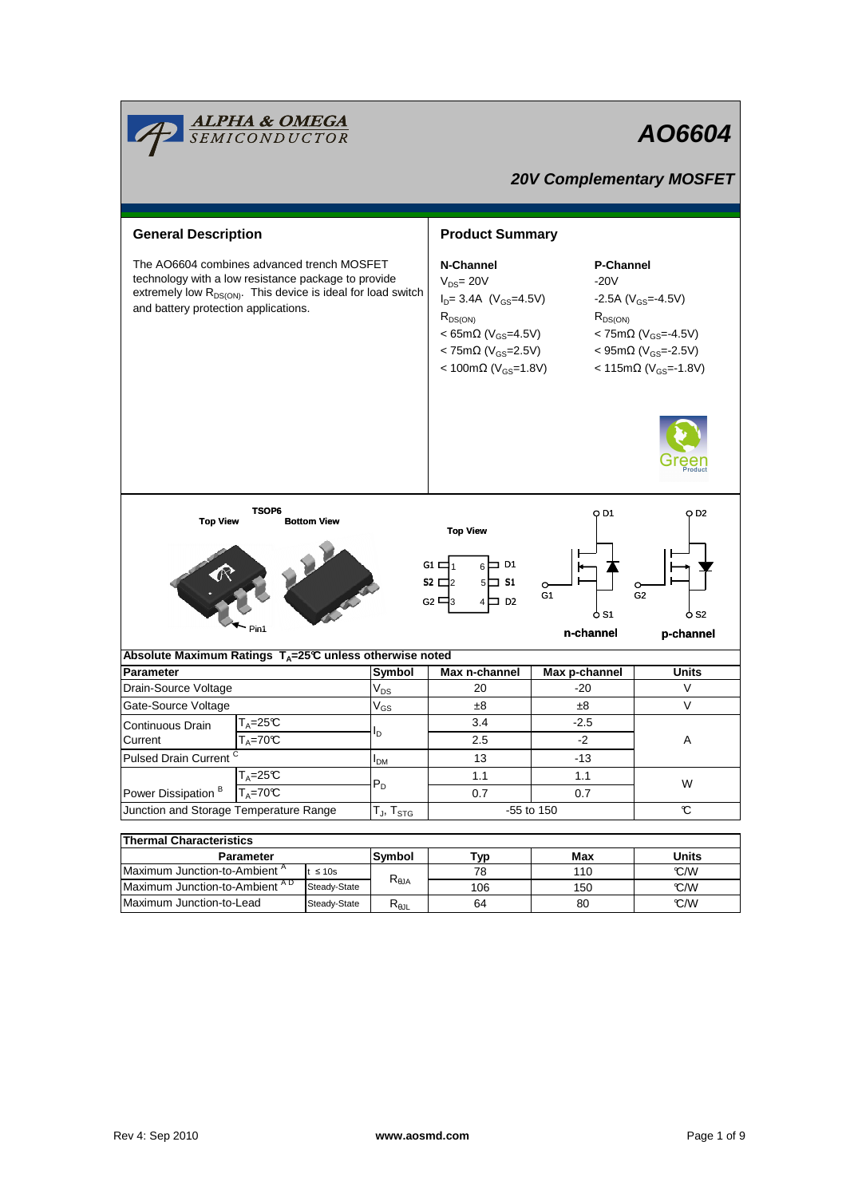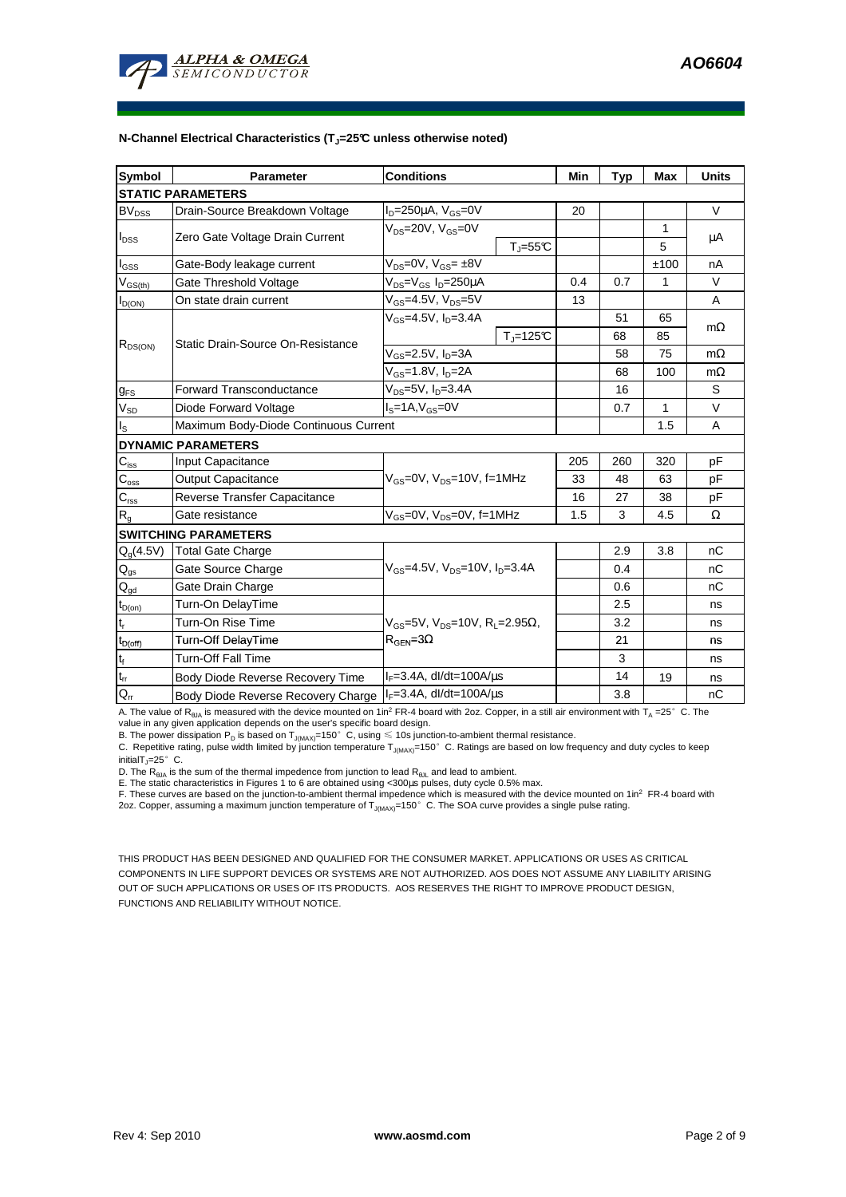

| Symbol                                  | <b>Parameter</b>                          | <b>Conditions</b>                                                                               |                       | Min | <b>Typ</b> | <b>Max</b> | <b>Units</b> |  |  |  |  |
|-----------------------------------------|-------------------------------------------|-------------------------------------------------------------------------------------------------|-----------------------|-----|------------|------------|--------------|--|--|--|--|
| <b>STATIC PARAMETERS</b>                |                                           |                                                                                                 |                       |     |            |            |              |  |  |  |  |
| <b>BV<sub>DSS</sub></b>                 | Drain-Source Breakdown Voltage            | $I_D = 250 \mu A$ , $V_{GS} = 0V$                                                               |                       | 20  |            |            | V            |  |  |  |  |
| $I_{DSS}$                               | Zero Gate Voltage Drain Current           | $V_{DS}$ =20V, $V_{GS}$ =0V                                                                     |                       |     |            | 1          |              |  |  |  |  |
|                                         |                                           |                                                                                                 | $T_{J} = 55^{\circ}C$ |     |            | 5          | μA           |  |  |  |  |
| l <sub>GSS</sub>                        | Gate-Body leakage current                 | $V_{DS} = 0V$ , $V_{GS} = \pm 8V$                                                               |                       |     |            | ±100       | nA           |  |  |  |  |
| $\mathsf{V}_{\mathsf{GS}(\mathsf{th})}$ | Gate Threshold Voltage                    | $V_{DS} = V_{GS} I_D = 250 \mu A$                                                               |                       | 0.4 | 0.7        | 1          | V            |  |  |  |  |
| $I_{D(ON)}$                             | On state drain current                    | $V_{GS}$ =4.5V, $V_{DS}$ =5V                                                                    |                       | 13  |            |            | A            |  |  |  |  |
| $R_{DS(ON)}$                            | Static Drain-Source On-Resistance         | $V_{GS} = 4.5V$ , $I_{D} = 3.4A$                                                                |                       |     | 51         | 65         |              |  |  |  |  |
|                                         |                                           |                                                                                                 | $T = 125C$            |     | 68         | 85         | $m\Omega$    |  |  |  |  |
|                                         |                                           | $V_{GS}$ =2.5V, $I_{D}$ =3A                                                                     |                       |     | 58         | 75         | $m\Omega$    |  |  |  |  |
|                                         |                                           | $V_{GS} = 1.8 V, I_D = 2A$                                                                      |                       |     | 68         | 100        | $m\Omega$    |  |  |  |  |
| <b>g<sub>FS</sub></b>                   | <b>Forward Transconductance</b>           | $V_{DS} = 5V$ , $I_D = 3.4A$                                                                    |                       |     | 16         |            | S            |  |  |  |  |
| $V_{SD}$                                | Diode Forward Voltage                     | $IS=1A, VGS=0V$                                                                                 |                       |     | 0.7        | 1          | $\vee$       |  |  |  |  |
| $I_{\rm S}$                             | Maximum Body-Diode Continuous Current     |                                                                                                 |                       |     |            | 1.5        | A            |  |  |  |  |
|                                         | <b>DYNAMIC PARAMETERS</b>                 |                                                                                                 |                       |     |            |            |              |  |  |  |  |
| $\mathbf{C}_{\text{iss}}$               | Input Capacitance                         | $V_{\text{GS}} = 0V$ , $V_{\text{DS}} = 10V$ , f=1MHz                                           |                       | 205 | 260        | 320        | рF           |  |  |  |  |
| $C_{\rm{oss}}$                          | <b>Output Capacitance</b>                 |                                                                                                 |                       | 33  | 48         | 63         | рF           |  |  |  |  |
| $C_{\rm rss}$                           | Reverse Transfer Capacitance              |                                                                                                 |                       | 16  | 27         | 38         | рF           |  |  |  |  |
| $R_{q}$                                 | Gate resistance                           | $V_{GS}$ =0V, $V_{DS}$ =0V, f=1MHz                                                              |                       | 1.5 | 3          | 4.5        | Ω            |  |  |  |  |
|                                         | <b>SWITCHING PARAMETERS</b>               |                                                                                                 |                       |     |            |            |              |  |  |  |  |
| $Q_q(4.5V)$                             | <b>Total Gate Charge</b>                  | $V_{GS}$ =4.5V, $V_{DS}$ =10V, $I_D$ =3.4A                                                      |                       |     | 2.9        | 3.8        | nC           |  |  |  |  |
| $\mathsf{Q}_{\text{gs}}$                | Gate Source Charge                        |                                                                                                 |                       |     | 0.4        |            | nC           |  |  |  |  |
| $\mathsf{Q}_{\text{gd}}$                | Gate Drain Charge                         |                                                                                                 |                       |     | 0.6        |            | nC           |  |  |  |  |
| $t_{D(0n)}$                             | Turn-On DelayTime                         |                                                                                                 |                       |     | 2.5        |            | ns           |  |  |  |  |
| $\mathfrak{t}_{\mathsf{r}}$             | Turn-On Rise Time                         | $V_{\text{GS}}$ =5V, $V_{\text{DS}}$ =10V, R <sub>1</sub> =2.95Ω,<br>$R_{\text{GFN}} = 3\Omega$ |                       |     | 3.2        |            | ns           |  |  |  |  |
| $t_{D(off)}$                            | Turn-Off DelayTime                        |                                                                                                 |                       |     | 21         |            | ns           |  |  |  |  |
| $\mathsf{t}_{\mathsf{f}}$               | <b>Turn-Off Fall Time</b>                 |                                                                                                 |                       |     | 3          |            | ns           |  |  |  |  |
| $t_{rr}$                                | Body Diode Reverse Recovery Time          | $I_F = 3.4A$ , dl/dt=100A/ $\mu$ s                                                              |                       |     | 14         | 19         | ns           |  |  |  |  |
| $Q_{rr}$                                | <b>Body Diode Reverse Recovery Charge</b> | $I_F = 3.4A$ , dl/dt=100A/ $\mu$ s                                                              |                       |     | 3.8        |            | nC           |  |  |  |  |

A. The value of  $R_{\theta JA}$  is measured with the device mounted on 1in<sup>2</sup> FR-4 board with 2oz. Copper, in a still air environment with T<sub>A</sub> =25°C. The

value in any given application depends on the user's specific board design.<br>B. The power dissipation P<sub>D</sub> is based on T<sub>J(MAX)</sub>=150°C, using ≤ 10s junction-to-ambient thermal resistance.

C. Repetitive rating, pulse width limited by junction temperature  $T_{J(MAX)}$ =150°C. Ratings are based on low frequency and duty cycles to keep initialT $_{J}$ =25°C.

D. The R<sub>eJA</sub> is the sum of the thermal impedence from junction to lead R<sub>eJL</sub> and lead to ambient.<br>E. The static characteristics in Figures 1 to 6 are obtained using <300µs pulses, duty cycle 0.5% max.<br>F. These curves ar 2oz. Copper, assuming a maximum junction temperature of  $T_{J(MAX)}$ =150°C. The SOA curve provides a single pulse rating.

THIS PRODUCT HAS BEEN DESIGNED AND QUALIFIED FOR THE CONSUMER MARKET. APPLICATIONS OR USES AS CRITICAL COMPONENTS IN LIFE SUPPORT DEVICES OR SYSTEMS ARE NOT AUTHORIZED. AOS DOES NOT ASSUME ANY LIABILITY ARISING OUT OF SUCH APPLICATIONS OR USES OF ITS PRODUCTS. AOS RESERVES THE RIGHT TO IMPROVE PRODUCT DESIGN, FUNCTIONS AND RELIABILITY WITHOUT NOTICE.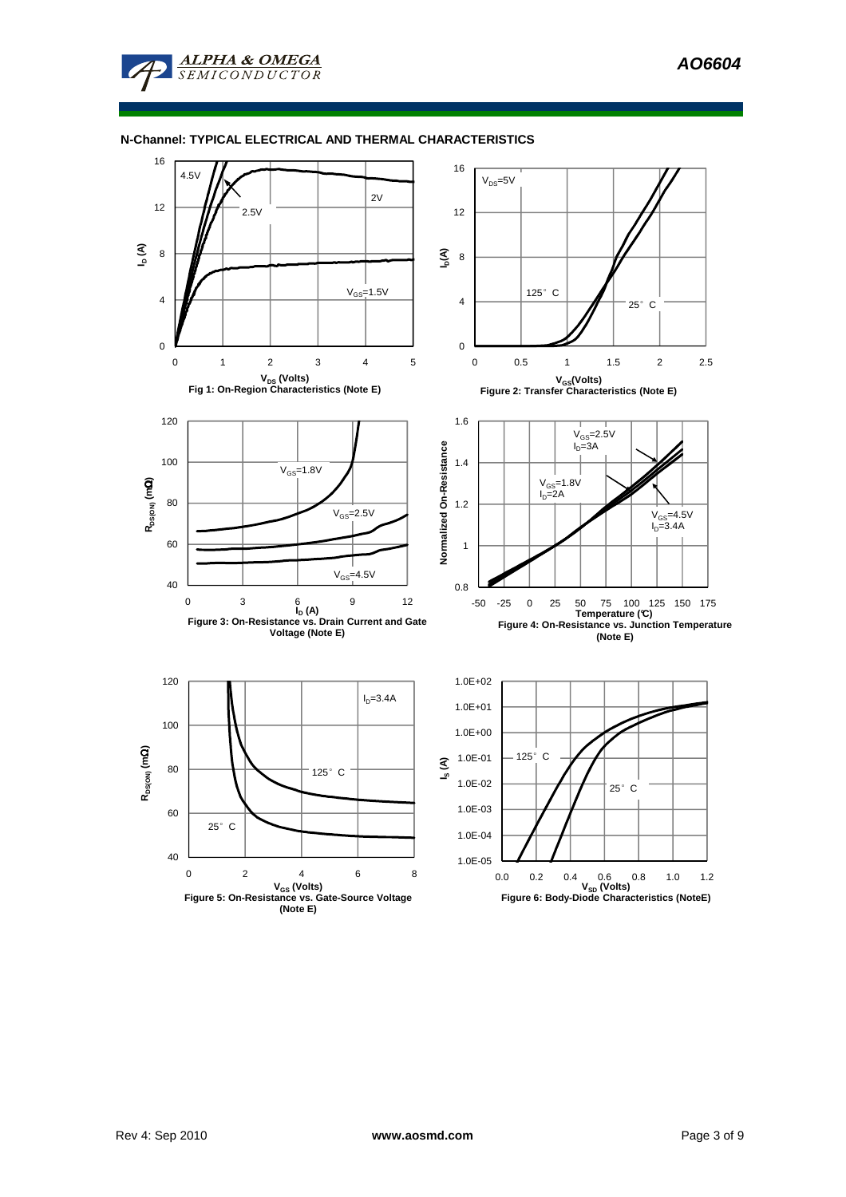**AO6604** 

#### **N-Channel: TYPICAL ELECTRICAL AND THERMAL CHARACTERISTICS**

**ALPHA & OMEGA SEMICONDUCTOR** 

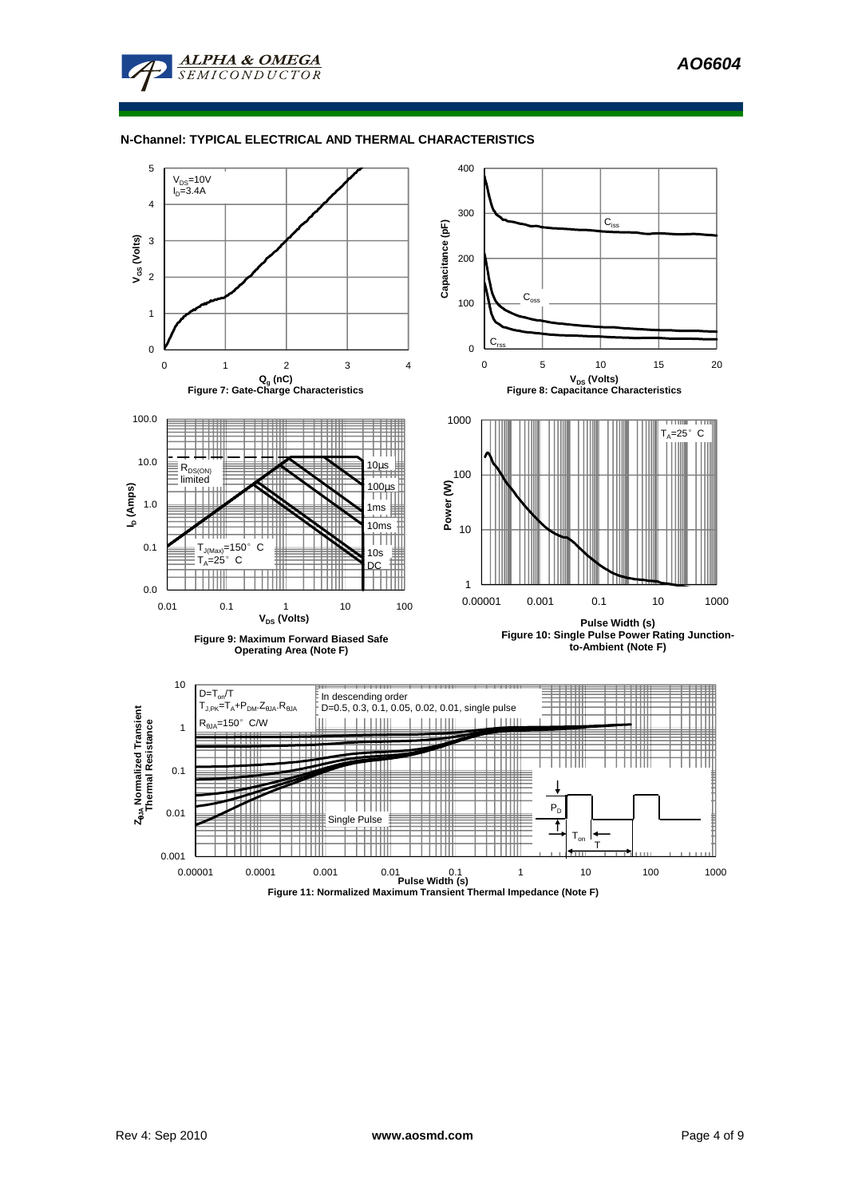**AO6604** 



**ALPHA & OMEGA**  $SFMICONDIICTOR$ 

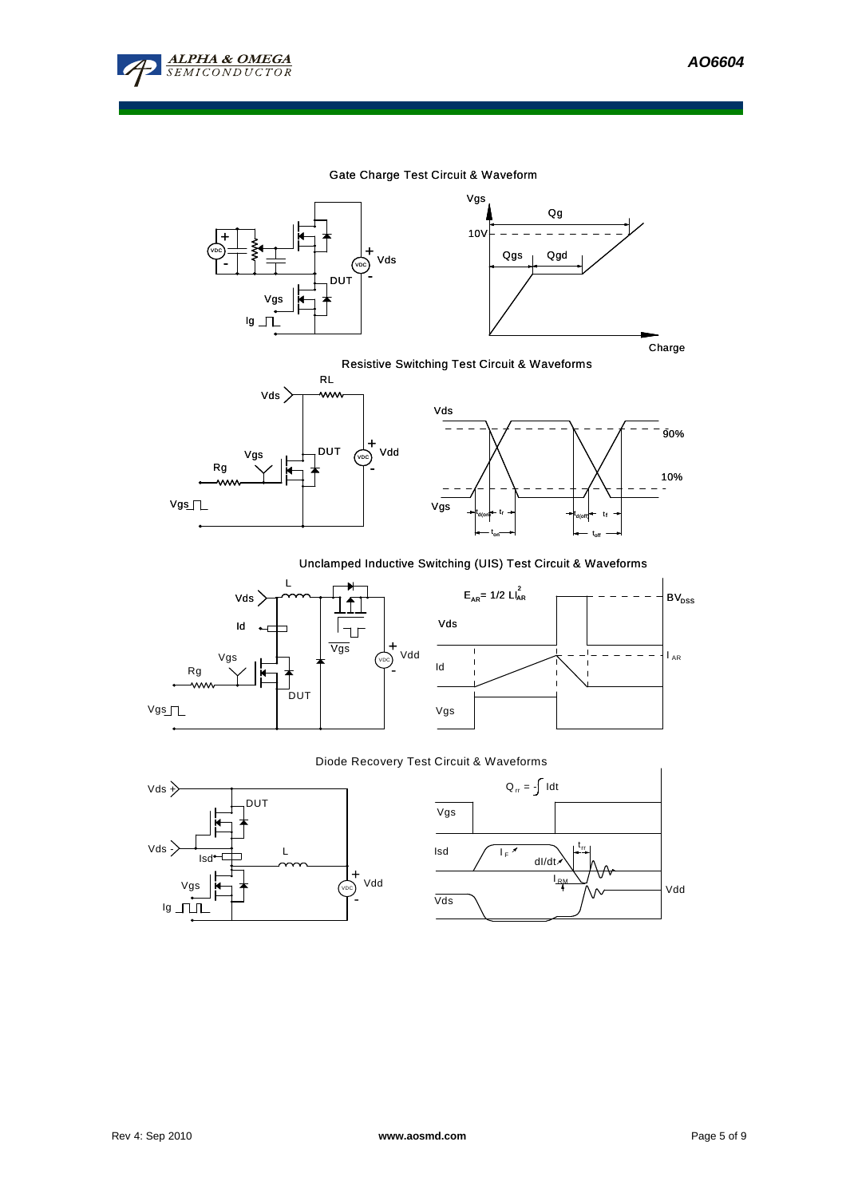

### Gate Charge Test Circuit & Waveform





# Resistive Switching Test Circuit & Waveforms





### Unclamped Inductive Switching (UIS) Test Circuit & Waveforms





### Diode Recovery Test Circuit & Waveforms



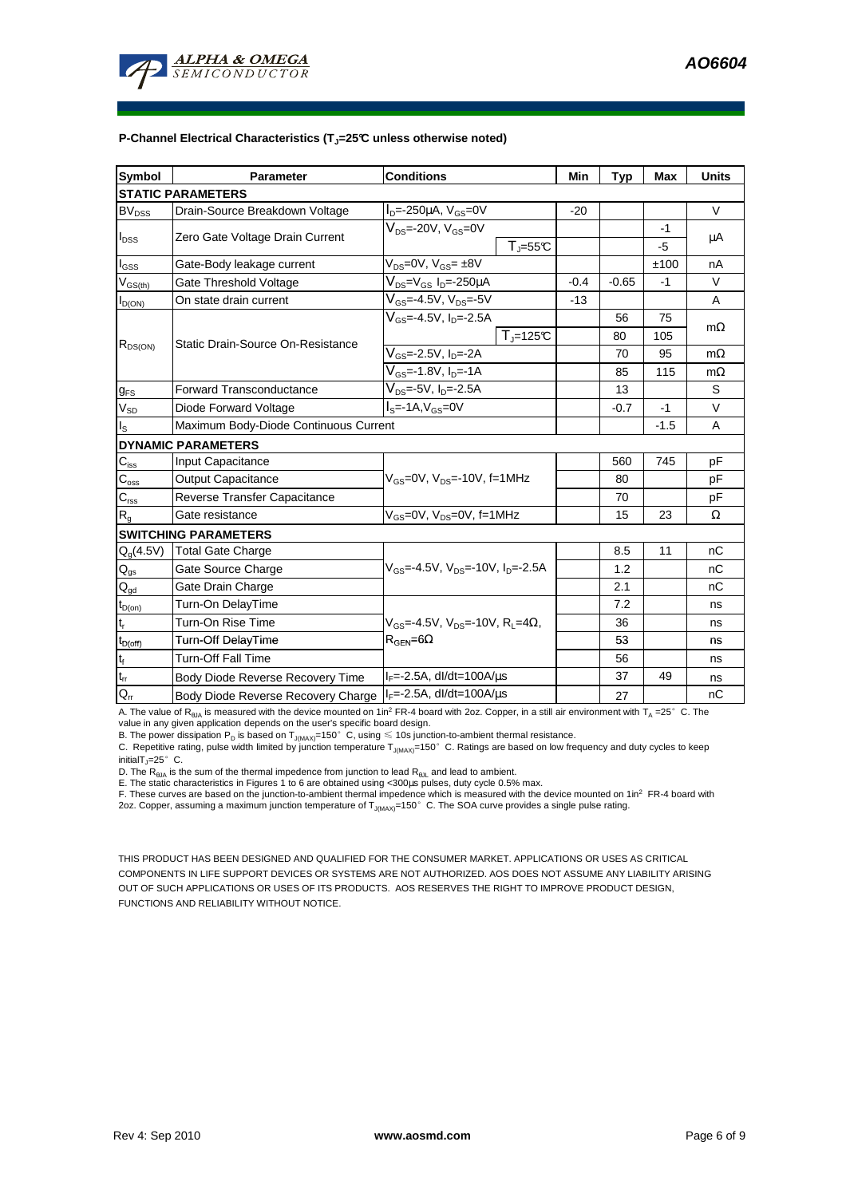

| Symbol                      | <b>Parameter</b>                      | <b>Conditions</b>                                                    | Min    | <b>Typ</b> | Max    | <b>Units</b> |  |  |  |  |  |
|-----------------------------|---------------------------------------|----------------------------------------------------------------------|--------|------------|--------|--------------|--|--|--|--|--|
| <b>STATIC PARAMETERS</b>    |                                       |                                                                      |        |            |        |              |  |  |  |  |  |
| $BV_{DSS}$                  | Drain-Source Breakdown Voltage        | $ID=-250\mu$ A, $VGS=0V$                                             | $-20$  |            |        | V            |  |  |  |  |  |
| $I_{DSS}$                   | Zero Gate Voltage Drain Current       | $V_{DS}$ =-20V, $V_{GS}$ =0V                                         |        |            | -1     | μA           |  |  |  |  |  |
|                             |                                       | $T_{\parallel} = 55$ °C                                              |        |            | -5     |              |  |  |  |  |  |
| $I_{\rm GSS}$               | Gate-Body leakage current             | $V_{DS} = 0V$ , $V_{GS} = \pm 8V$                                    |        |            | ±100   | nA           |  |  |  |  |  |
| $V_{GS(th)}$                | Gate Threshold Voltage                | $V_{DS} = V_{GS} I_D = -250 \mu A$                                   | $-0.4$ | $-0.65$    | $-1$   | $\vee$       |  |  |  |  |  |
| $I_{D(ON)}$                 | On state drain current                | $V_{GS}$ =-4.5V, V <sub>DS</sub> =-5V                                | $-13$  |            |        | A            |  |  |  |  |  |
| $R_{DS(ON)}$                | Static Drain-Source On-Resistance     | $V_{GS}$ =-4.5V, I <sub>D</sub> =-2.5A                               |        | 56         | 75     | $m\Omega$    |  |  |  |  |  |
|                             |                                       | $T_{\parallel}$ =125°C                                               |        | 80         | 105    |              |  |  |  |  |  |
|                             |                                       | $V_{GS} = -2.5V$ , $I_{D} = -2A$                                     |        | 70         | 95     | $m\Omega$    |  |  |  |  |  |
|                             |                                       | $V_{GS}$ =-1.8V, $I_{D}$ =-1A                                        |        | 85         | 115    | $m\Omega$    |  |  |  |  |  |
| $g_{FS}$                    | <b>Forward Transconductance</b>       | $V_{DS}$ =-5V, I <sub>D</sub> =-2.5A                                 |        | 13         |        | S            |  |  |  |  |  |
| $V_{SD}$                    | Diode Forward Voltage                 | $Is=-1A, VGS=0V$                                                     |        | $-0.7$     | $-1$   | $\vee$       |  |  |  |  |  |
| $I_{\rm S}$                 | Maximum Body-Diode Continuous Current |                                                                      |        |            | $-1.5$ | A            |  |  |  |  |  |
|                             | <b>DYNAMIC PARAMETERS</b>             |                                                                      |        |            |        |              |  |  |  |  |  |
| $C_{iss}$                   | Input Capacitance                     |                                                                      |        | 560        | 745    | рF           |  |  |  |  |  |
| $\mathbf{C}_{\text{oss}}$   | <b>Output Capacitance</b>             | $V_{\text{GS}} = 0V$ , $V_{\text{DS}} = -10V$ , f=1MHz               |        | 80         |        | рF           |  |  |  |  |  |
| $\mathbf{C}_{\text{rss}}$   | Reverse Transfer Capacitance          |                                                                      |        | 70         |        | рF           |  |  |  |  |  |
| $R_{g}$                     | Gate resistance                       | $V_{GS}$ =0V, $V_{DS}$ =0V, f=1MHz                                   |        | 15         | 23     | Ω            |  |  |  |  |  |
| <b>SWITCHING PARAMETERS</b> |                                       |                                                                      |        |            |        |              |  |  |  |  |  |
| $Q_g(4.5V)$                 | <b>Total Gate Charge</b>              |                                                                      |        | 8.5        | 11     | nC           |  |  |  |  |  |
| $\mathsf{Q}_{\text{gs}}$    | Gate Source Charge                    | $V_{\text{GS}}$ =-4.5V, $V_{\text{DS}}$ =-10V, $I_{\text{D}}$ =-2.5A |        | 1.2        |        | nC           |  |  |  |  |  |
| $Q_{gd}$                    | Gate Drain Charge                     |                                                                      |        | 2.1        |        | nC           |  |  |  |  |  |
| $t_{D(0n)}$                 | Turn-On DelayTime                     |                                                                      |        | 7.2        |        | ns           |  |  |  |  |  |
| $\mathbf{t}_\mathrm{r}$     | Turn-On Rise Time                     | $V_{\text{GS}} = -4.5V$ , $V_{\text{DS}} = -10V$ , $R_1 = 4\Omega$ , |        | 36         |        | ns           |  |  |  |  |  |
| $t_{D(off)}$                | Turn-Off DelayTime                    | $R_{\text{GEN}} = 6\Omega$                                           |        | 53         |        | ns           |  |  |  |  |  |
| $\mathbf{t}_\text{f}$       | <b>Turn-Off Fall Time</b>             |                                                                      |        | 56         |        | ns           |  |  |  |  |  |
| $t_{rr}$                    | Body Diode Reverse Recovery Time      | $I_F = -2.5A$ , dl/dt=100A/ $\mu$ s                                  |        | 37         | 49     | ns           |  |  |  |  |  |
| $Q_{rr}$                    | Body Diode Reverse Recovery Charge    | $I_F = -2.5A$ , dl/dt=100A/us                                        |        | 27         |        | nC           |  |  |  |  |  |

A. The value of  $R_{\theta JA}$  is measured with the device mounted on 1in<sup>2</sup> FR-4 board with 2oz. Copper, in a still air environment with T<sub>A</sub> =25°C. The

value in any given application depends on the user's specific board design.<br>B. The power dissipation P<sub>D</sub> is based on T<sub>J(MAX)</sub>=150°C, using ≤ 10s junction-to-ambient thermal resistance.

C. Repetitive rating, pulse width limited by junction temperature  $T_{J(MAX)}$ =150°C. Ratings are based on low frequency and duty cycles to keep initialT $_{J}$ =25°C.

D. The R<sub>eJA</sub> is the sum of the thermal impedence from junction to lead R<sub>eJL</sub> and lead to ambient.<br>E. The static characteristics in Figures 1 to 6 are obtained using <300µs pulses, duty cycle 0.5% max.<br>F. These curves ar 2oz. Copper, assuming a maximum junction temperature of  $T_{J(MAX)}$ =150°C. The SOA curve provides a single pulse rating.

THIS PRODUCT HAS BEEN DESIGNED AND QUALIFIED FOR THE CONSUMER MARKET. APPLICATIONS OR USES AS CRITICAL COMPONENTS IN LIFE SUPPORT DEVICES OR SYSTEMS ARE NOT AUTHORIZED. AOS DOES NOT ASSUME ANY LIABILITY ARISING OUT OF SUCH APPLICATIONS OR USES OF ITS PRODUCTS. AOS RESERVES THE RIGHT TO IMPROVE PRODUCT DESIGN, FUNCTIONS AND RELIABILITY WITHOUT NOTICE.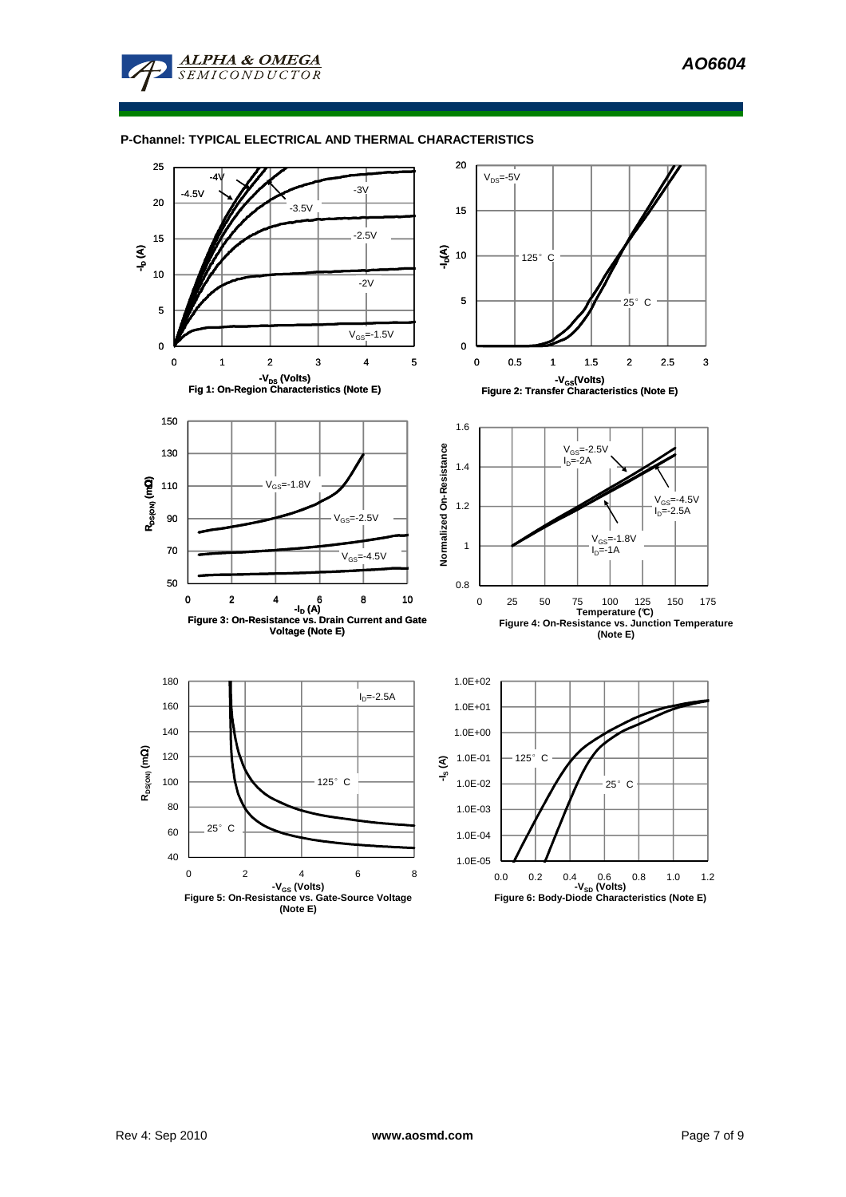### **P-Channel: TYPICAL ELECTRICAL AND THERMAL CHARACTERISTICS**

**ALPHA & OMEGA SEMICONDUCTOR** 

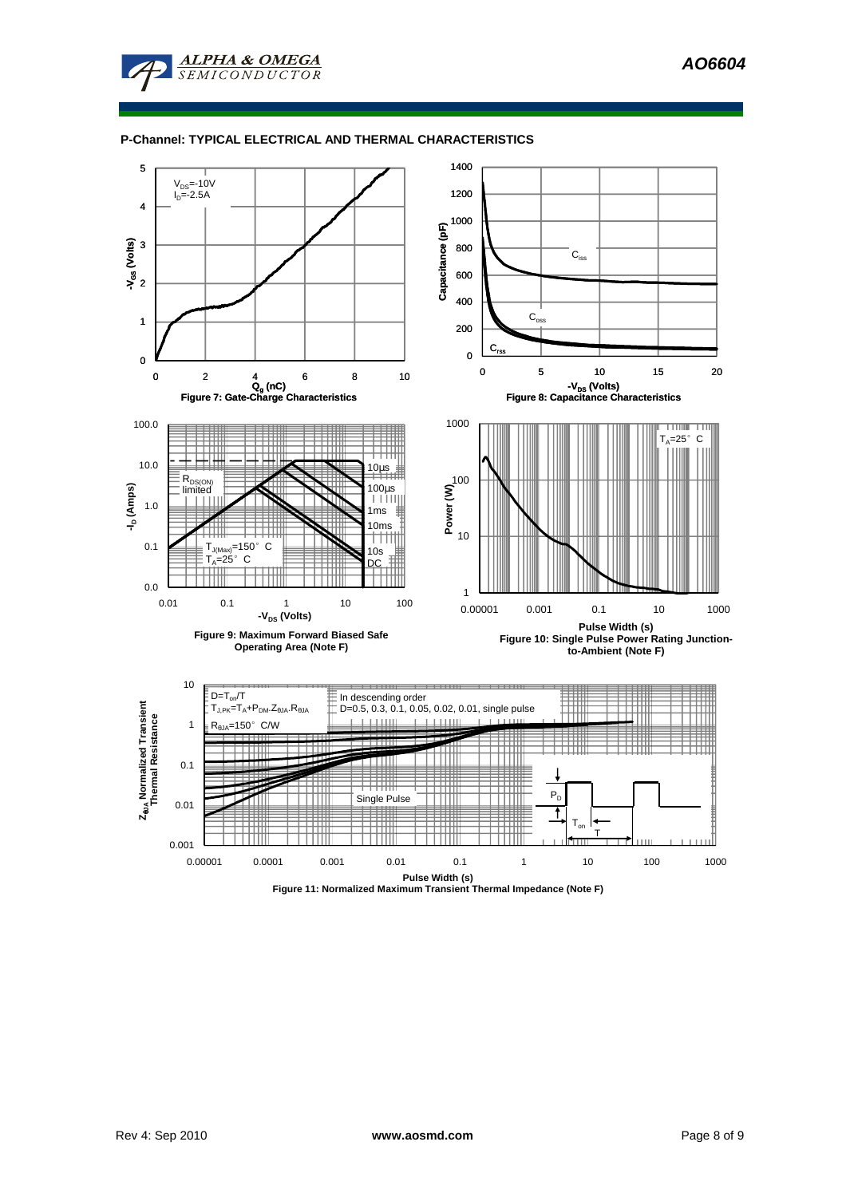**AO6604** 



### **P-Channel: TYPICAL ELECTRICAL AND THERMAL CHARACTERISTICS**